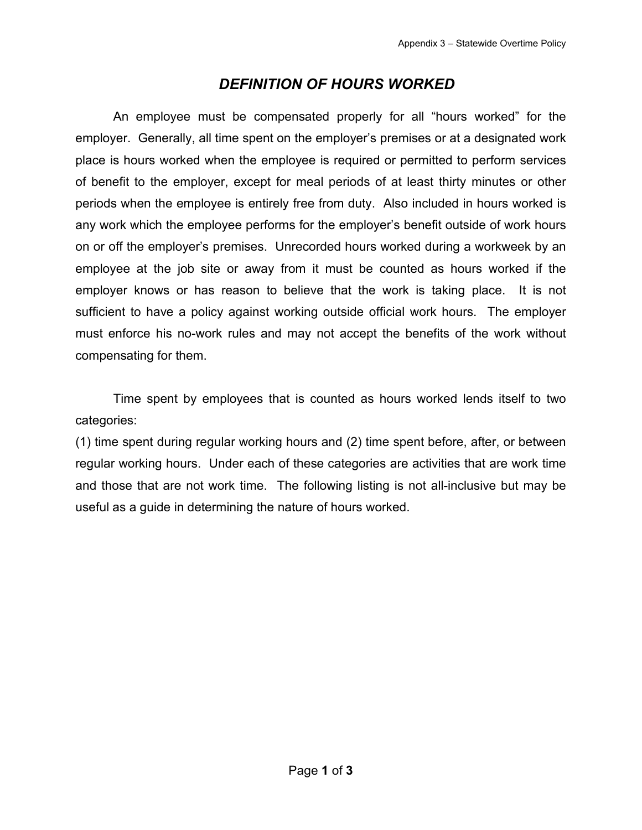# *DEFINITION OF HOURS WORKED*

An employee must be compensated properly for all "hours worked" for the employer. Generally, all time spent on the employer's premises or at a designated work place is hours worked when the employee is required or permitted to perform services of benefit to the employer, except for meal periods of at least thirty minutes or other periods when the employee is entirely free from duty. Also included in hours worked is any work which the employee performs for the employer's benefit outside of work hours on or off the employer's premises. Unrecorded hours worked during a workweek by an employee at the job site or away from it must be counted as hours worked if the employer knows or has reason to believe that the work is taking place. It is not sufficient to have a policy against working outside official work hours. The employer must enforce his no-work rules and may not accept the benefits of the work without compensating for them.

Time spent by employees that is counted as hours worked lends itself to two categories:

(1) time spent during regular working hours and (2) time spent before, after, or between regular working hours. Under each of these categories are activities that are work time and those that are not work time. The following listing is not all-inclusive but may be useful as a guide in determining the nature of hours worked.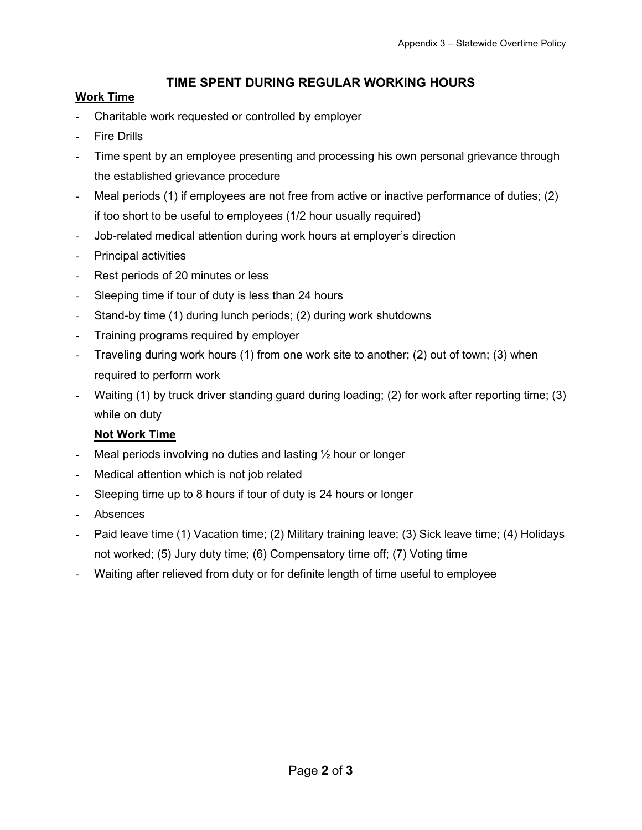# **TIME SPENT DURING REGULAR WORKING HOURS**

#### **Work Time**

- Charitable work requested or controlled by employer
- **Fire Drills**
- Time spent by an employee presenting and processing his own personal grievance through the established grievance procedure
- Meal periods (1) if employees are not free from active or inactive performance of duties; (2) if too short to be useful to employees (1/2 hour usually required)
- Job-related medical attention during work hours at employer's direction
- Principal activities
- Rest periods of 20 minutes or less
- Sleeping time if tour of duty is less than 24 hours
- Stand-by time (1) during lunch periods; (2) during work shutdowns
- Training programs required by employer
- Traveling during work hours (1) from one work site to another; (2) out of town; (3) when required to perform work
- Waiting (1) by truck driver standing guard during loading; (2) for work after reporting time; (3) while on duty

### **Not Work Time**

- Meal periods involving no duties and lasting  $\frac{1}{2}$  hour or longer
- Medical attention which is not job related
- Sleeping time up to 8 hours if tour of duty is 24 hours or longer
- **Absences**
- Paid leave time (1) Vacation time; (2) Military training leave; (3) Sick leave time; (4) Holidays not worked; (5) Jury duty time; (6) Compensatory time off; (7) Voting time
- Waiting after relieved from duty or for definite length of time useful to employee